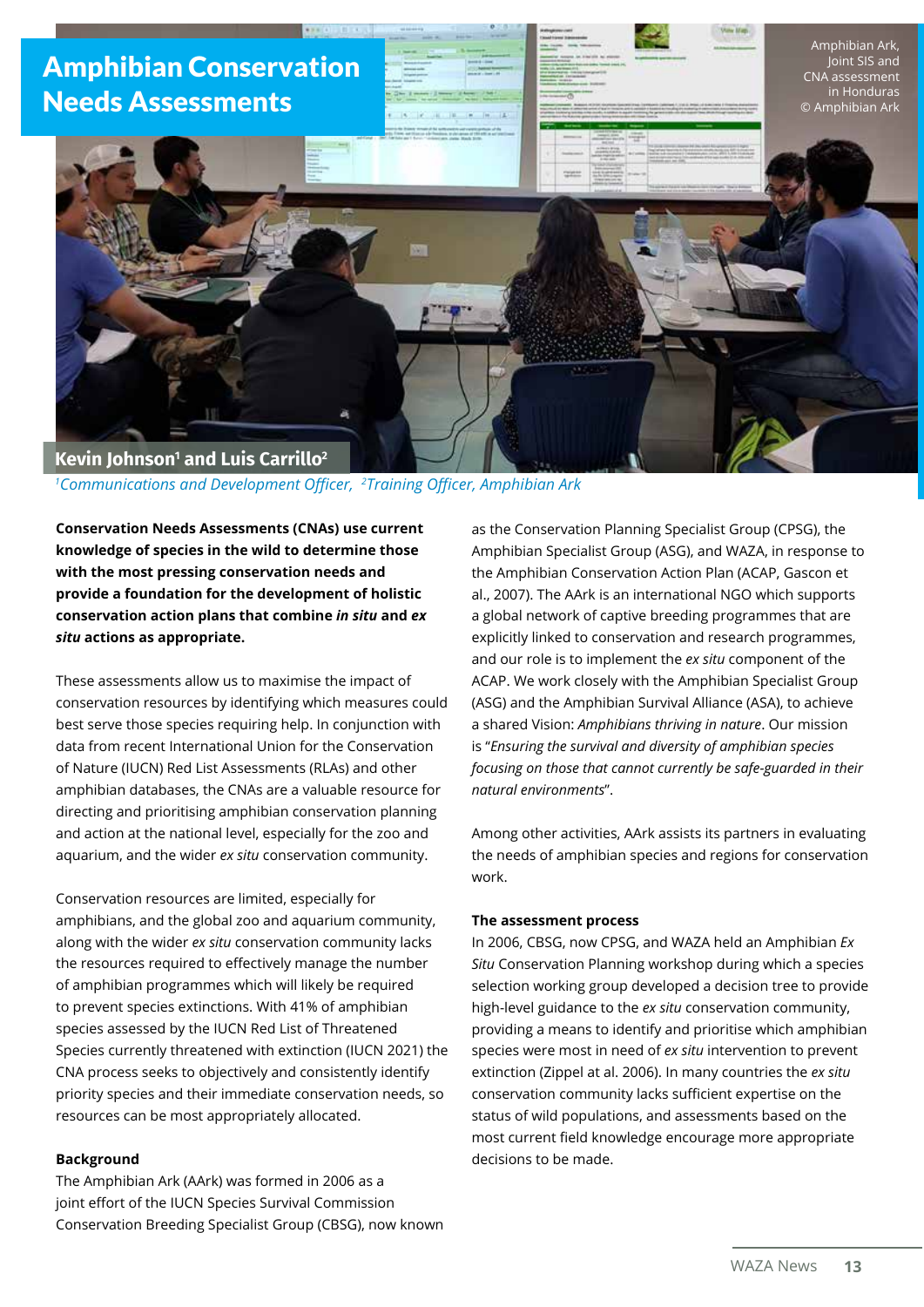

*1 Communications and Development Officer, <sup>2</sup> Training Officer, Amphibian Ark*

**Conservation Needs Assessments (CNAs) use current knowledge of species in the wild to determine those with the most pressing conservation needs and provide a foundation for the development of holistic conservation action plans that combine** *in situ* **and** *ex situ* **actions as appropriate.**

These assessments allow us to maximise the impact of conservation resources by identifying which measures could best serve those species requiring help. In conjunction with data from recent International Union for the Conservation of Nature (IUCN) Red List Assessments (RLAs) and other amphibian databases, the CNAs are a valuable resource for directing and prioritising amphibian conservation planning and action at the national level, especially for the zoo and aquarium, and the wider *ex situ* conservation community.

Conservation resources are limited, especially for amphibians, and the global zoo and aquarium community, along with the wider *ex situ* conservation community lacks the resources required to effectively manage the number of amphibian programmes which will likely be required to prevent species extinctions. With 41% of amphibian species assessed by the IUCN Red List of Threatened Species currently threatened with extinction (IUCN 2021) the CNA process seeks to objectively and consistently identify priority species and their immediate conservation needs, so resources can be most appropriately allocated.

### **Background**

The Amphibian Ark (AArk) was formed in 2006 as a joint effort of the IUCN Species Survival Commission Conservation Breeding Specialist Group (CBSG), now known

as the Conservation Planning Specialist Group (CPSG), the Amphibian Specialist Group (ASG), and WAZA, in response to the Amphibian Conservation Action Plan (ACAP, Gascon et al., 2007). The AArk is an international NGO which supports a global network of captive breeding programmes that are explicitly linked to conservation and research programmes, and our role is to implement the *ex situ* component of the ACAP. We work closely with the Amphibian Specialist Group (ASG) and the Amphibian Survival Alliance (ASA), to achieve a shared Vision: *Amphibians thriving in nature*. Our mission is "*Ensuring the survival and diversity of amphibian species focusing on those that cannot currently be safe-guarded in their natural environments*".

Among other activities, AArk assists its partners in evaluating the needs of amphibian species and regions for conservation work.

#### **The assessment process**

In 2006, CBSG, now CPSG, and WAZA held an Amphibian *Ex Situ* Conservation Planning workshop during which a species selection working group developed a decision tree to provide high-level guidance to the *ex situ* conservation community, providing a means to identify and prioritise which amphibian species were most in need of *ex situ* intervention to prevent extinction (Zippel at al. 2006). In many countries the *ex situ* conservation community lacks sufficient expertise on the status of wild populations, and assessments based on the most current field knowledge encourage more appropriate decisions to be made.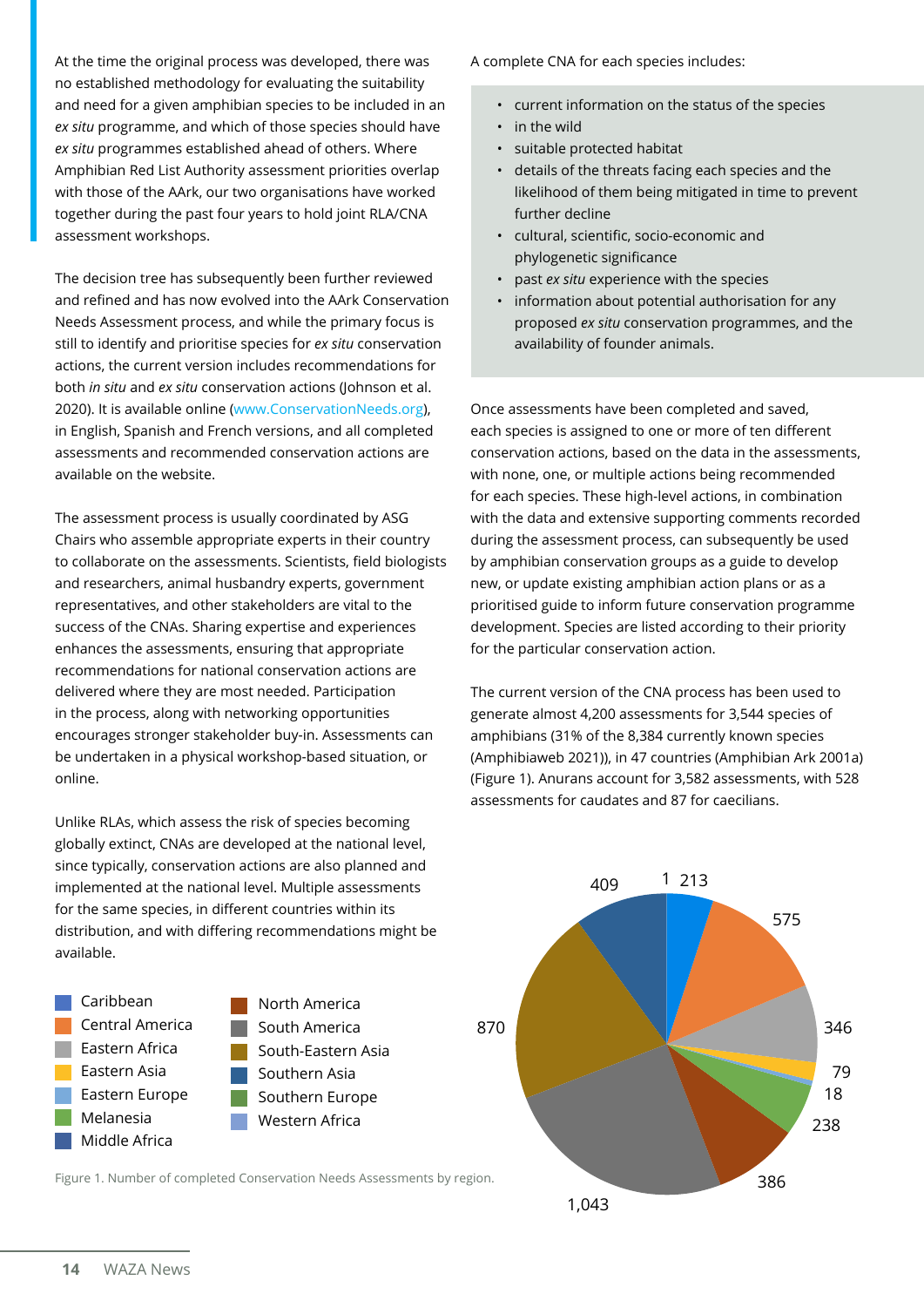At the time the original process was developed, there was no established methodology for evaluating the suitability and need for a given amphibian species to be included in an *ex situ* programme, and which of those species should have *ex situ* programmes established ahead of others. Where Amphibian Red List Authority assessment priorities overlap with those of the AArk, our two organisations have worked together during the past four years to hold joint RLA/CNA assessment workshops.

The decision tree has subsequently been further reviewed and refined and has now evolved into the AArk Conservation Needs Assessment process, and while the primary focus is still to identify and prioritise species for *ex situ* conservation actions, the current version includes recommendations for both *in situ* and *ex situ* conservation actions (Johnson et al. 2020). It is available online ([www.ConservationNeeds.org\)](http://www.ConservationNeeds.org), in English, Spanish and French versions, and all completed assessments and recommended conservation actions are available on the website.

The assessment process is usually coordinated by ASG Chairs who assemble appropriate experts in their country to collaborate on the assessments. Scientists, field biologists and researchers, animal husbandry experts, government representatives, and other stakeholders are vital to the success of the CNAs. Sharing expertise and experiences enhances the assessments, ensuring that appropriate recommendations for national conservation actions are delivered where they are most needed. Participation in the process, along with networking opportunities encourages stronger stakeholder buy-in. Assessments can be undertaken in a physical workshop-based situation, or online.

Unlike RLAs, which assess the risk of species becoming globally extinct, CNAs are developed at the national level, since typically, conservation actions are also planned and implemented at the national level. Multiple assessments for the same species, in different countries within its distribution, and with differing recommendations might be available.



North America South America South-Eastern Asia Southern Asia Southern Europe Western Africa

Figure 1. Number of completed Conservation Needs Assessments by region.

A complete CNA for each species includes:

- current information on the status of the species
- in the wild
- suitable protected habitat
- details of the threats facing each species and the likelihood of them being mitigated in time to prevent further decline
- cultural, scientific, socio-economic and phylogenetic significance
- past *ex situ* experience with the species
- information about potential authorisation for any proposed *ex situ* conservation programmes, and the availability of founder animals.

Once assessments have been completed and saved, each species is assigned to one or more of ten different conservation actions, based on the data in the assessments, with none, one, or multiple actions being recommended for each species. These high-level actions, in combination with the data and extensive supporting comments recorded during the assessment process, can subsequently be used by amphibian conservation groups as a guide to develop new, or update existing amphibian action plans or as a prioritised guide to inform future conservation programme development. Species are listed according to their priority for the particular conservation action.

The current version of the CNA process has been used to generate almost 4,200 assessments for 3,544 species of amphibians (31% of the 8,384 currently known species (Amphibiaweb 2021)), in 47 countries (Amphibian Ark 2001a) (Figure 1). Anurans account for 3,582 assessments, with 528 assessments for caudates and 87 for caecilians.

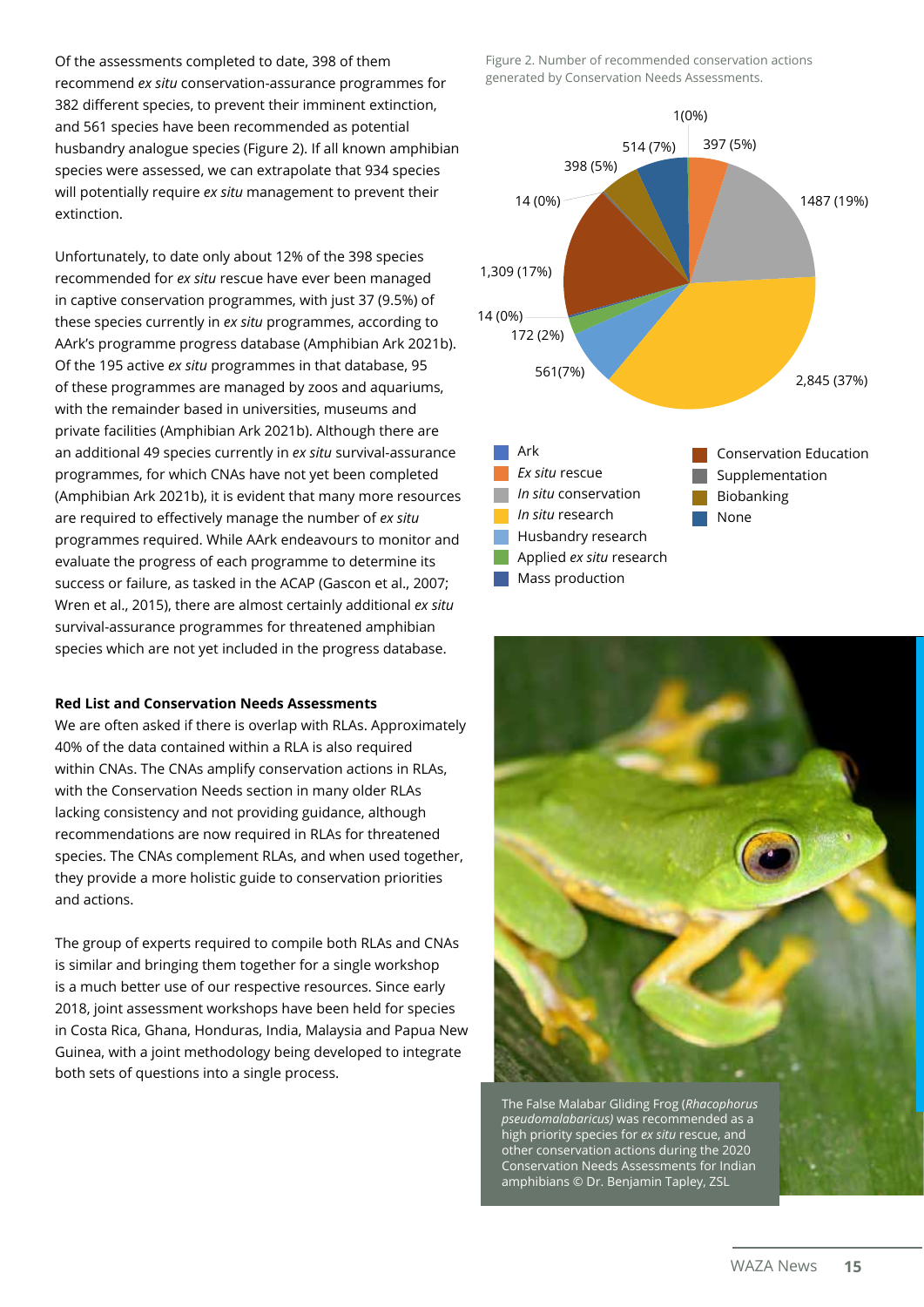Of the assessments completed to date, 398 of them recommend *ex situ* conservation-assurance programmes for 382 different species, to prevent their imminent extinction, and 561 species have been recommended as potential husbandry analogue species (Figure 2). If all known amphibian species were assessed, we can extrapolate that 934 species will potentially require *ex situ* management to prevent their extinction.

Unfortunately, to date only about 12% of the 398 species recommended for *ex situ* rescue have ever been managed in captive conservation programmes, with just 37 (9.5%) of these species currently in *ex situ* programmes, according to AArk's programme progress database (Amphibian Ark 2021b). Of the 195 active *ex situ* programmes in that database, 95 of these programmes are managed by zoos and aquariums, with the remainder based in universities, museums and private facilities (Amphibian Ark 2021b). Although there are an additional 49 species currently in *ex situ* survival-assurance programmes, for which CNAs have not yet been completed (Amphibian Ark 2021b), it is evident that many more resources are required to effectively manage the number of *ex situ* programmes required. While AArk endeavours to monitor and evaluate the progress of each programme to determine its success or failure, as tasked in the ACAP (Gascon et al., 2007; Wren et al., 2015), there are almost certainly additional *ex situ* survival-assurance programmes for threatened amphibian species which are not yet included in the progress database.

# **Red List and Conservation Needs Assessments**

We are often asked if there is overlap with RLAs. Approximately 40% of the data contained within a RLA is also required within CNAs. The CNAs amplify conservation actions in RLAs, with the Conservation Needs section in many older RLAs lacking consistency and not providing guidance, although recommendations are now required in RLAs for threatened species. The CNAs complement RLAs, and when used together, they provide a more holistic guide to conservation priorities and actions.

The group of experts required to compile both RLAs and CNAs is similar and bringing them together for a single workshop is a much better use of our respective resources. Since early 2018, joint assessment workshops have been held for species in Costa Rica, Ghana, Honduras, India, Malaysia and Papua New Guinea, with a joint methodology being developed to integrate both sets of questions into a single process.

Figure 2. Number of recommended conservation actions generated by Conservation Needs Assessments.





The False Malabar Gliding Frog (*Rhacophorus pseudomalabaricus)* was recommended as a high priority species for *ex situ* rescue, and other conservation actions during the 2020 Conservation Needs Assessments for Indian amphibians © Dr. Benjamin Tapley, ZSL